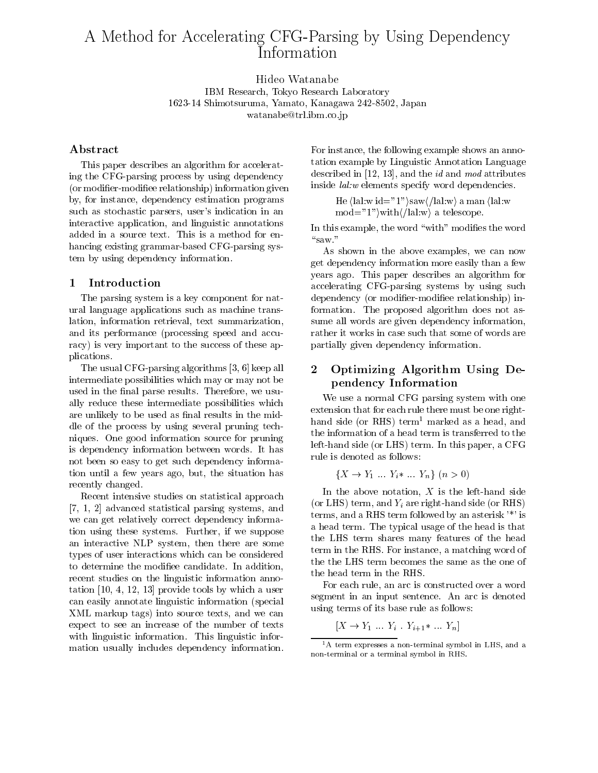# A Method for Accelerating CFG-Parsing by Using Dependency

Hideo Watanabe

IBM Research, Tokyo Research Laboratory 1623-14 Shimotsuruma, Yamato, Kanagawa 242-8502, Japan watanabe@trl.ibm.co.jp

# Abstract

This paper describes an algorithm for accelerating the CFG-parsing process by using dependency (or modifier-modifiee relationship) information given by, for instance, dependency estimation programs such as stochastic parsers, user's indication in an interactive application, and linguistic annotations added in a source text. This is a method for enhancing existing grammar-based CFG-parsing system by using dependency information.

# 1 Introduction

The parsing system is a key component for natural language applications such as machine translation, information retrieval, text summarization, and its performance (processing speed and accuracy) is very important to the success of these applications.

The usual CFG-parsing algorithms [3, 6] keep all intermediate possibilities which may or may not be used in the final parse results. Therefore, we usually reduce these intermediate possibilities which we use a normal CPG parsing system with one are unlikely to be used as final results in the middle of the process by using several pruning techniques. One good information source for pruning is dependency information between words. It has not been so easy to get such dependency information until a few years ago, but, the situation has recently changed.

Recent intensive studies on statistical approach [7, 1, 2] advanced statistical parsing systems, and we can get relatively correct dependency information using these systems. Further, if we suppose an interactive NLP system, then there are some types of user interactions which can be considered to determine the modiee candidate. In addition, recent studies on the linguistic information annotation [10, 4, 12, 13] provide tools by which a user can easily annotate linguistic information (special XML markup tags) into source texts, and we can expect to see an increase of the number of texts with linguistic information. This linguistic information usually includes dependency information. For instance, the following example shows an annotation example by Linguistic Annotation Language described in [12, 13], and the id and mod attributes inside lal:w elements specify word dependencies.

He 
$$
\langle \text{lal:w id="1"} \rangle \text{saw} / \langle \text{lal:w} \rangle
$$
 a man  $\langle \text{lal:w} \rangle \text{mod="1"} \rangle \text{with} / \langle \text{lal:w} \rangle$  a telescope.

In this example, the word "with" modifies the word

As shown in the above examples, we can now get dependency information more easily than a few years ago. This paper describes an algorithm for accelerating CFG-parsing systems by using such dependency (or modifier-modifiee relationship) information. The proposed algorithm does not assume all words are given dependency information, rather it works in case such that some of words are partially given dependency information.

# 2 Optimizing Algorithm Using Dependency Information

We use a normal CFG parsing system with one extension that for each rule there must be one righthand side (or RHS) term<sup>1</sup> marked as a head, and the information of a head term is transferred to the left-hand side (or LHS) term. In this paper, a CFG rule is denoted as follows:

$$
\{X \to Y_1 \dots Y_i * \dots Y_n\} \ (n > 0)
$$

In the above notation,  $X$  is the left-hand side (or LHS) term, and  $Y_i$  are right-hand side (or RHS) terms, and a RHS term followed by an asterisk '\*' is a head term. The typical usage of the head is that the LHS term shares many features of the head term in the RHS. For instance, a matching word of the the LHS term becomes the same as the one of the head term in the RHS.

For each rule, an arc is constructed over a word segment in an input sentence. An arc is denoted using terms of its base rule as follows:

$$
[X \to Y_1 \dots Y_i \cdot Y_{i+1} \ast \dots Y_n]
$$

 $^1\mathrm{A}$  term expresses a non-terminal symbol in LHS, and a non-terminal or a terminal symbol in RHS.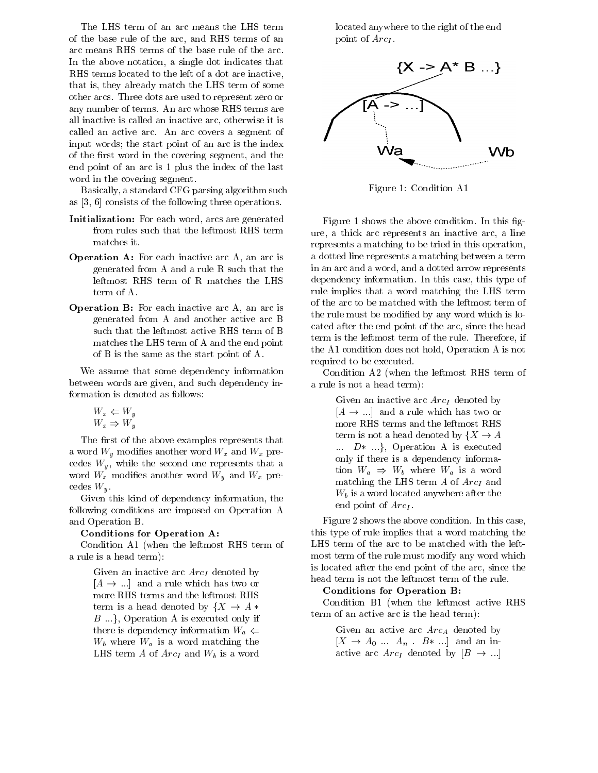The LHS term of an arc means the LHS term of the base rule of the arc, and RHS terms of an arc means RHS terms of the base rule of the arc. In the above notation, a single dot indicates that RHS terms located to the left of a dot are inactive, that is, they already match the LHS term of some other arcs. Three dots are used to represent zero or any number of terms. An arc whose RHS terms are all inactive is called an inactive arc, otherwise it is called an active arc. An arc covers a segment of input words; the start point of an arc is the index of the first word in the covering segment, and the end point of an arc is 1 plus the index of the last word in the covering segment.

Basically, a standard CFG parsing algorithm such as [3, 6] consists of the following three operations.

- Initialization: For each word, arcs are generated from rules such that the leftmost RHS term matches it.
- Operation A: For each inactive arc A, an arc is generated from A and a rule R such that the leftmost RHS term of R matches the LHS term of A.
- Operation B: For each inactive arc A, an arc is generated from A and another active arc B such that the leftmost active RHS term of B matches the LHS term of A and the end point of B is the same as the start point of A.

We assume that some dependency information between words are given, and such dependency information is denoted as follows:

$$
W_x \Leftarrow W_y
$$
  

$$
W_x \Rightarrow W_y
$$

The first of the above examples represents that a word  $W_y$  modifies another word  $W_x$  and  $W_x$  precedes  $W_y$ , while the second one represents that a word  $W_x$  modifies another word  $W_y$  and  $W_x$  precedes  $W_u$ .

Given this kind of dependency information, the following conditions are imposed on Operation A and Operation B.

#### Conditions for Operation A:

Condition A1 (when the leftmost RHS term of a rule is a head term):

> Given an inactive arc  $Arc_I$  denoted by  $[A \rightarrow \dots]$  and a rule which has two or more RHS terms and the leftmost RHS term is a head denoted by  $\{X \rightarrow A\}$  $B \ldots$ , Operation A is executed only if there is dependency information  $W_a \Leftarrow$  $W_b$  where  $W_a$  is a word matching the LHS term  $A$  of  $Arc_I$  and  $W_b$  is a word

located anywhere to the right of the end point of  $Arc<sub>I</sub>$ .



Figure 1: Condition A1

Figure 1 shows the above condition. In this figure, a thick arc represents an inactive arc, a line represents a matching to be tried in this operation, a dotted line represents a matching between a term in an arc and a word, and a dotted arrow represents dependency information. In this case, this type of rule implies that a word matching the LHS term of the arc to be matched with the leftmost term of the rule must be modied by any word which is located after the end point of the arc, since the head term is the leftmost term of the rule. Therefore, if the A1 condition does not hold, Operation A is not required to be executed.

Condition A2 (when the leftmost RHS term of a rule is not a head term):

> Given an inactive arc  $Arc<sub>I</sub>$  denoted by  $[A \rightarrow \dots]$  and a rule which has two or more RHS terms and the leftmost RHS term is not a head denoted by  $\{X \to A\}$  $\ldots$   $D^*$   $\ldots$ }, Operation A is executed only if there is a dependency information  $W_a \Rightarrow W_b$  where  $W_a$  is a word matching the LHS term  $A$  of  $Arc_I$  and  $W_b$  is a word located anywhere after the end point of  $Arc_I$ .

Figure 2 shows the above condition. In this case, this type of rule implies that a word matching the LHS term of the arc to be matched with the leftmost term of the rule must modify any word which is located after the end point of the arc, since the head term is not the leftmost term of the rule.

#### Conditions for Operation B:

Condition B1 (when the leftmost active RHS term of an active arc is the head term):

> Given an active arc  $Arc_A$  denoted by  $[X \rightarrow A_0 \dots A_n \dots B* \dots]$  and an inactive arc  $Arc_I$  denoted by  $[B \rightarrow ...]$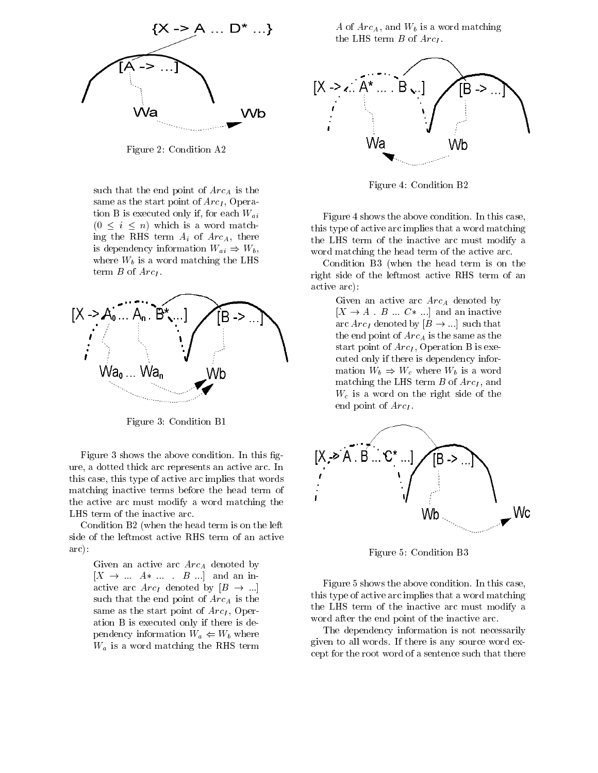

Figure 2: Condition A2

such that the end point of  $Arc_A$  is the same as the start point of  $Arc_I$ , Operation B is executed only if, for each  $W_{ai}$  $(0 \leq i \leq n)$  which is a word matching the RHS term  $A_i$  of  $Arc_A$ , there is dependency information  $W_{ai} \Rightarrow W_b$ , where  $W_b$  is a word matching the LHS term  $B$  of  $Arc_I$ .



Figure 3: Condition B1

Figure 3 shows the above condition. In this figure, a dotted thick arc represents an active arc. In this case, this type of active arc implies that words matching inactive terms before the head term of the active arc must modify a word matching the LHS term of the inactive arc.

Condition B2 (when the head term is on the left side of the leftmost active RHS term of an active arc):

> Given an active arc  $Arc<sub>A</sub>$  denoted by  $[X \rightarrow ... A^* ...$   $B ...]$  and an inactive arc  $Arc_I$  denoted by  $[B \rightarrow ...]$ such that the end point of  $Arc_A$  is the same as the start point of  $Arc_I$ , Operation B is executed only if there is dependency information  $W_a \leftarrow W_b$  where  $W_a$  is a word matching the RHS term

A of  $Arc_A$ , and  $W_b$  is a word matching the LHS term  $B$  of  $Arc<sub>I</sub>$ .



Figure 4: Condition B2

Figure 4 shows the above condition. In this case, this type of active arc implies that a word matching the LHS term of the inactive arc must modify a word matching the head term of the active arc.

Condition B3 (when the head term is on the right side of the leftmost active RHS term of an active arc):

> Given an active arc  $Arc_A$  denoted by  $[X \rightarrow A \cdot B \dots C^* \dots]$  and an inactive arc  $Arc_I$  denoted by  $[B \rightarrow \dots]$  such that the end point of  $Arc_A$  is the same as the start point of  $Arc_I$ , Operation B is executed only if there is dependency information  $W_b \Rightarrow W_c$  where  $W_b$  is a word matching the LHS term  $B$  of  $Arc_I$ , and  $W_c$  is a word on the right side of the end point of  $ArcI$ .



Figure 5: Condition B3

Figure 5 shows the above condition. In this case, this type of active arc implies that a word matching the LHS term of the inactive arc must modify a word after the end point of the inactive arc.

The dependency information is not necessarily given to all words. If there is any source word except for the root word of a sentence such that there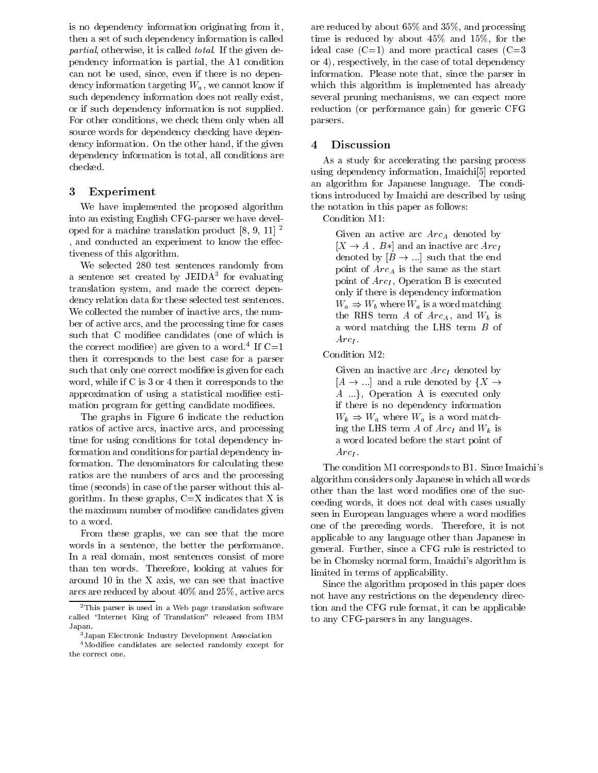is no dependency information originating from it, then a set of such dependency information is called partial, otherwise, it is called *total*. If the given dependency information is partial, the A1 condition can not be used, since, even if there is no dependency information targeting  $W_a$ , we cannot know if such dependency information does not really exist, or if such dependency information is not supplied. For other conditions, we check them only when all source words for dependency checking have dependency information. On the other hand, if the given  $4$ dependency information is total, all conditions are checked.

# 3 Experiment

We have implemented the proposed algorithm into an existing English CFG-parser we have developed for a machine translation product  $[8, 9, 11]$ <sup>2</sup> , and conducted an experiment to know the effectiveness of this algorithm.

We selected 280 test sentences randomly from a sentence set created by JEIDA<sup>-</sup> for evaluating translation system, and made the correct dependency relation data for these selected test sentences. We collected the number of inactive arcs, the number of active arcs, and the processing time for cases such that C modifiee candidates (one of which is the correct modifiee) are given to a word. If  $\cup=1$ then it corresponds to the best case for a parser such that only one correct modifiee is given for each word, while if C is 3 or 4 then it corresponds to the approximation of using a statistical modifiee estimation program for getting candidate modifiees.

The graphs in Figure 6 indicate the reduction ratios of active arcs, inactive arcs, and processing time for using conditions for total dependency information and conditions for partial dependency information. The denominators for calculating these ratios are the numbers of arcs and the processing time (seconds) in case of the parser without this algorithm. In these graphs,  $C=X$  indicates that X is the maximum number of modiee candidates given to a word.

From these graphs, we can see that the more words in a sentence, the better the performance. In a real domain, most sentences consist of more than ten words. Therefore, looking at values for around 10 in the X axis, we can see that inactive arcs are reduced by about 40% and 25%, active arcs are reduced by about 65% and 35%, and processing time is reduced by about 45% and 15%, for the ideal case  $(C=1)$  and more practical cases  $(C=3)$ or 4), respectively, in the case of total dependency information. Please note that, since the parser in which this algorithm is implemented has already several pruning mechanisms, we can expect more reduction (or performance gain) for generic CFG parsers.

### **Discussion**

As a study for accelerating the parsing process using dependency information, Imaichi[5] reported an algorithm for Japanese language. The conditions introduced by Imaichi are described by using the notation in this paper as follows:

Condition M1:

Given an active arc  $Arc<sub>A</sub>$  denoted by  $[X \rightarrow A \cdot B*]$  and an inactive arc  $Arc<sub>I</sub>$ denoted by  $[B \rightarrow \dots]$  such that the end point of  $Arc_A$  is the same as the start point of  $Arc_I$ , Operation B is executed only if there is dependency information  $W_a \Rightarrow W_b$  where  $W_a$  is a word matching the RHS term A of  $Arc_A$ , and  $W_b$  is a word matching the LHS term B of  $Arc<sub>L</sub>$ .

Condition M2:

Given an inactive arc  $Arc<sub>I</sub>$  denoted by  $[A \rightarrow \dots]$  and a rule denoted by  $\{X \rightarrow$  $A \dots$ , Operation A is executed only if there is no dependency information  $W_k \Rightarrow W_a$  where  $W_a$  is a word matching the LHS term  $A$  of  $Arc_I$  and  $W_k$  is a word located before the start point of  $Arc<sub>L</sub>$ .

The condition M1 corresponds to B1. Since Imaichi's algorithm considers only Japanese in which all words other than the last word modifies one of the succeeding words, it does not deal with cases usually seen in European languages where a word modifies one of the preceding words. Therefore, it is not applicable to any language other than Japanese in general. Further, since a CFG rule is restricted to be in Chomsky normal form, Imaichi's algorithm is limited in terms of applicability.

Since the algorithm proposed in this paper does not have any restrictions on the dependency direction and the CFG rule format, it can be applicable to any CFG-parsers in any languages.

<sup>2</sup>This parser is used in a Web page translation software called "Internet King of Translation" released from IBM Japan. Japan.

<sup>3</sup>Japan Electronic Industry Development Association

<sup>4</sup>Modiee candidates are selected randomly except for the correct one.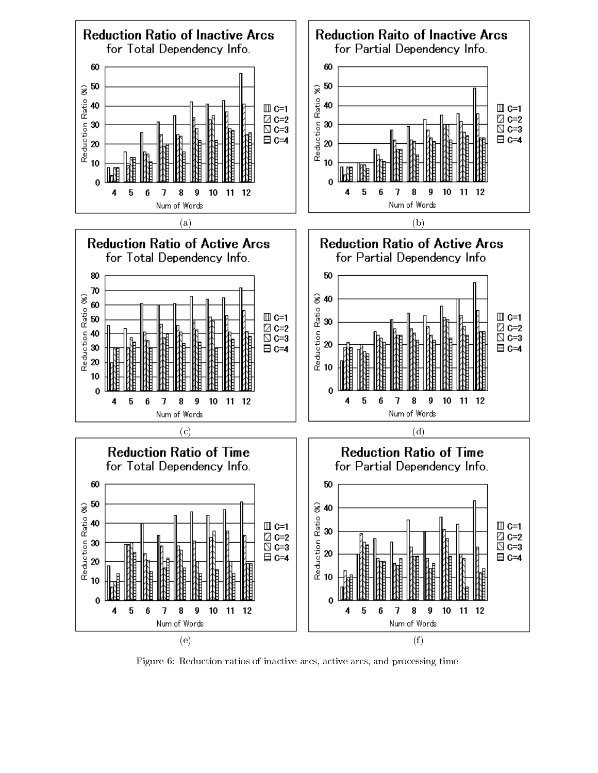

Figure 6: Reduction ratios of inactive arcs, active arcs, and processing time